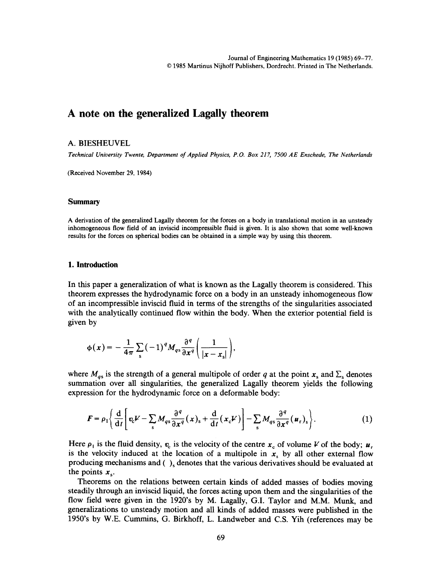# **A note on the generalized Lagally theorem**

# **A.** BIESHEUVEL

*Technical University Twente, Department of Applied Physics, P.O. Box 217, 7500 AE Enschede, The Netherlands* 

(Received November 29, 1984)

#### **Summary**

A derivation of the generalized Lagally theorem for the forces on a body in translational motion in an unsteady inhomogeneous flow field of an inviscid incompressible fluid is given. It is also shown that some well-known results for the forces on spherical bodies can be obtained in a simple way by using this theorem.

### 1. Introduction

In this paper a generalization of what is known as the Lagally theorem is considered. This theorem expresses the hydrodynamic force on a body in an unsteady inhomogeneous flow of an incompressible inviscid fluid in terms of the strengths of the singularities associated with the analytically continued flow within the body. When the exterior potential field is given by

$$
\phi(x) = -\frac{1}{4\pi} \sum_{s} (-1)^q M_{qs} \frac{\partial^q}{\partial x^q} \left( \frac{1}{|x - x_s|} \right),
$$

where  $M_{gs}$  is the strength of a general multipole of order q at the point  $x_s$  and  $\Sigma_s$  denotes summation over all singularities, the generalized Lagally theorem yields the following expression for the hydrodynamic force on a deformable body:

$$
F = \rho_1 \left\{ \frac{\mathrm{d}}{\mathrm{d}t} \left[ v_c V - \sum_s M_{qs} \frac{\partial^q}{\partial x^q} (x)_s + \frac{\mathrm{d}}{\mathrm{d}t} (x_c V) \right] - \sum_s M_{qs} \frac{\partial^q}{\partial x^q} (u_r)_s \right\}.
$$
 (1)

Here  $\rho_1$  is the fluid density,  $v_c$  is the velocity of the centre  $x_c$  of volume V of the body;  $u_r$ is the velocity induced at the location of a multipole in  $x<sub>s</sub>$  by all other external flow producing mechanisms and  $( \ )_s$  denotes that the various derivatives should be evaluated at the points  $x_{s}$ .

Theorems on the relations between certain kinds of added masses of bodies moving steadily through an inviscid liquid, the forces acting upon them and the singularities of the flow field were given in the 1920's by M. Lagally, G.I. Taylor and M.M. Munk, and generalizations to unsteady motion and all kinds of added masses were published in the 1950's by W.E. Cummins, G. Birkhoff, L. Landweber and C.S. Yih (references may be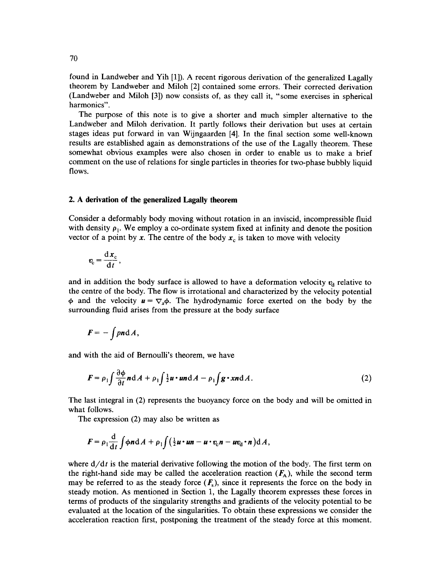found in Landweber and Yih [1]). A recent rigorous derivation of the generalized Lagally theorem by Landweber and Miloh [2] contained some errors. Their corrected derivation (Landweber and Miloh [3]) now consists of, as they call it, "some exercises in spherical harmonics".

The purpose of this note is to give a shorter and much simpler alternative to the Landweber and Miloh derivation. It partly follows their derivation but uses at certain stages ideas put forward in van Wijngaarden [4]. In the final section some well-known results are established again as demonstrations of the use of the Lagally theorem. These somewhat obvious examples were also chosen in order to enable us to make a brief comment on the use of relations for single particles in theories for two-phase bubbly liquid flows.

## **2. A derivation of the generalized Lagally theorem**

Consider a deformably body moving without rotation in an inviscid, incompressible fluid with density  $\rho_1$ . We employ a co-ordinate system fixed at infinity and denote the position vector of a point by x. The centre of the body  $x_c$  is taken to move with velocity

$$
v_{\rm c} = \frac{\mathrm{d}x_{\rm c}}{\mathrm{d}t},
$$

and in addition the body surface is allowed to have a deformation velocity  $v_d$  relative to the centre of the body. The flow is irrotational and characterized by the velocity potential  $\phi$  and the velocity  $u = \nabla_x \phi$ . The hydrodynamic force exerted on the body by the surrounding fluid arises from the pressure at the body surface

$$
F=-\int p\mathbf{n}\,\mathrm{d}\,A,
$$

and with the aid of Bernoulli's theorem, we have

$$
F = \rho_1 \int \frac{\partial \phi}{\partial t} n \, dA + \rho_1 \int \frac{1}{2} u \cdot u n \, dA - \rho_1 \int g \cdot x n \, dA. \tag{2}
$$

The last integral in (2) represents the buoyancy force on the body and will be omitted in what follows.

The expression (2) may also be written as

$$
F = \rho_1 \frac{\mathrm{d}}{\mathrm{d}t} \int \phi \mathbf{n} \mathrm{d}A + \rho_1 \int \Big( \tfrac{1}{2} \mathbf{u} \cdot \mathbf{u} \mathbf{n} - \mathbf{u} \cdot \mathbf{v}_c \mathbf{n} - \mathbf{u} \mathbf{v}_d \cdot \mathbf{n} \Big) \mathrm{d}A,
$$

where  $d/dt$  is the material derivative following the motion of the body. The first term on the right-hand side may be called the acceleration reaction  $(F_A)$ , while the second term may be referred to as the steady force  $(F_s)$ , since it represents the force on the body in steady motion. As mentioned in Section 1, the Lagally theorem expresses these forces in terms of products of the singularity strengths and gradients of the velocity potential to be evaluated at the location of the singularities. To obtain these expressions we consider the acceleration reaction first, postponing the treatment of the steady force at this moment.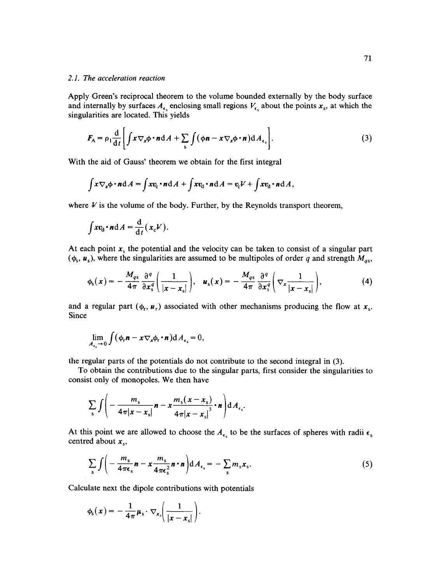# *2.1. The acceleration reaction*

Apply Green's reciprocal theorem to the volume bounded externally by the body surface and internally by surfaces  $A_{\epsilon_3}$  enclosing small regions  $V_{\epsilon_3}$  about the points  $x_s$ , at which the singularities are located. This yields

$$
F_{A} = \rho_1 \frac{d}{dt} \left[ \int x \nabla_x \phi \cdot n \, dA + \sum_{s} \int (\phi n - x \nabla_x \phi \cdot n) \, dA_{\epsilon_s} \right]. \tag{3}
$$

With the aid of Gauss' theorem we obtain for the first integral

$$
\int x \nabla_x \phi \cdot n \, \mathrm{d}A = \int x v_\mathrm{c} \cdot n \, \mathrm{d}A + \int x v_\mathrm{d} \cdot n \, \mathrm{d}A = v_\mathrm{c} V + \int x v_\mathrm{d} \cdot n \, \mathrm{d}A,
$$

where  $V$  is the volume of the body. Further, by the Reynolds transport theorem,

$$
\int x v_{\rm d} \cdot n \, \mathrm{d}A = \frac{\mathrm{d}}{\mathrm{d}t} (x_{\rm c} V).
$$

At each point  $x_s$  the potential and the velocity can be taken to consist of a singular part  $(\phi_s, \mu_s)$ , where the singularities are assumed to be multipoles of order q and strength  $M_{qs}$ ,

$$
\phi_{s}(x) = -\frac{M_{qs}}{4\pi} \frac{\partial^{q}}{\partial x_{s}^{q}} \left( \frac{1}{|x - x_{s}|} \right), \quad u_{s}(x) = -\frac{M_{qs}}{4\pi} \frac{\partial^{q}}{\partial x_{s}^{q}} \left( \nabla_{x} \frac{1}{|x - x_{s}|} \right), \tag{4}
$$

and a regular part ( $\phi_r$ ,  $\mathbf{u}_r$ ) associated with other mechanisms producing the flow at  $\mathbf{x}_s$ . Since

$$
\lim_{A_{\epsilon_{\mathfrak{s}}}\to 0}\int (\phi_{\mathfrak{r}}\boldsymbol{n}-\boldsymbol{x}\nabla_{\boldsymbol{x}}\phi_{\mathfrak{r}}\boldsymbol{\cdot}\boldsymbol{n})\mathrm{d}A_{\epsilon_{\mathfrak{s}}}=0,
$$

the regular parts of the potentials do not contribute to the second integral in (3).

To obtain the contributions due to the singular parts, first consider the singularities to consist only of monopoles. We then have

$$
\sum_{s}\int\left(-\frac{m_{s}}{4\pi|x-x_{s}|}\mathbf{n}-x\frac{m_{s}(x-x_{s})}{4\pi|x-x_{s}|^{3}}\cdot\mathbf{n}\right)dA_{\epsilon_{s}}.
$$

At this point we are allowed to choose the  $A_{\epsilon_s}$  to be the surfaces of spheres with radii  $\epsilon_s$ centred about  $x_s$ ,

$$
\sum_{s} \int \left( -\frac{m_s}{4\pi\epsilon_s} \boldsymbol{n} - x \frac{m_s}{4\pi\epsilon_s^2} \boldsymbol{n} \cdot \boldsymbol{n} \right) dA_{\epsilon_s} = -\sum_{s} m_s x_s. \tag{5}
$$

Calculate next the dipole contributions with potentials

$$
\phi_{s}(x) = -\frac{1}{4\pi}\mu_{s} \cdot \nabla_{x_{s}}\bigg(\frac{1}{|x - x_{s}|}\bigg).
$$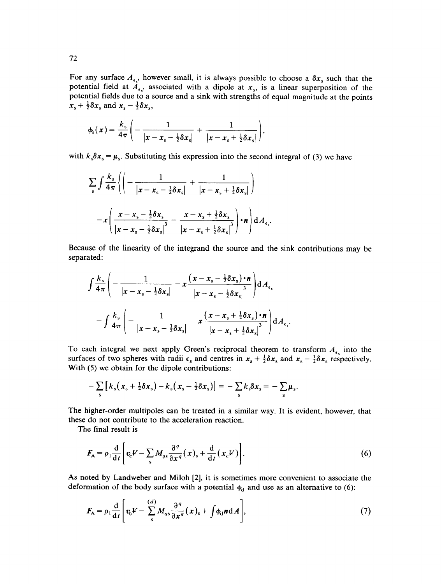For any surface  $A_{\epsilon}$ , however small, it is always possible to choose a  $\delta x_s$  such that the potential field at  $A_{\epsilon_{s}}$ , associated with a dipole at  $x_{s}$ , is a linear superposition of the potential fields due to a source and a sink with strengths of equal magnitude at the points  $x_s + \frac{1}{2}\delta x_s$  and  $x_s - \frac{1}{2}\delta x_s$ ,

$$
\phi_{s}(x)=\frac{k_{s}}{4\pi}\bigg(-\frac{1}{|x-x_{s}-\frac{1}{2}\delta x_{s}|}+\frac{1}{|x-x_{s}+\frac{1}{2}\delta x_{s}|}\bigg),
$$

with  $k_s \delta x_s = \mu_s$ . Substituting this expression into the second integral of (3) we have

$$
\sum_{s} \int \frac{k_s}{4\pi} \left\{ \left( -\frac{1}{|x - x_s - \frac{1}{2}\delta x_s|} + \frac{1}{|x - x_s + \frac{1}{2}\delta x_s|} \right) - x \left( \frac{x - x_s - \frac{1}{2}\delta x_s}{|x - x_s - \frac{1}{2}\delta x_s|} - \frac{x - x_s + \frac{1}{2}\delta x_s}{|x - x_s + \frac{1}{2}\delta x_s|} \right) \cdot n \right\} dA_{\epsilon_s}.
$$

Because of the linearity of the integrand the source and the sink contributions may be separated:

$$
\int \frac{k_{\rm s}}{4\pi} \left( -\frac{1}{|x - x_{\rm s} - \frac{1}{2}\delta x_{\rm s}|} - x \frac{(x - x_{\rm s} - \frac{1}{2}\delta x_{\rm s}) \cdot n}{|x - x_{\rm s} - \frac{1}{2}\delta x_{\rm s}|^3} \right) dA_{\epsilon_{\rm s}}
$$

$$
- \int \frac{k_{\rm s}}{4\pi} \left( -\frac{1}{|x - x_{\rm s} + \frac{1}{2}\delta x_{\rm s}|} - x \frac{(x - x_{\rm s} + \frac{1}{2}\delta x_{\rm s}) \cdot n}{|x - x_{\rm s} + \frac{1}{2}\delta x_{\rm s}|^3} \right) dA_{\epsilon_{\rm s}}.
$$

To each integral we next apply Green's reciprocal theorem to transform  $A_{\epsilon}$  into the surfaces of two spheres with radii  $\epsilon_s$  and centres in  $x_s + \frac{1}{2}\delta x_s$  and  $x_s - \frac{1}{2}\delta x_s$  respectively. With (5) we obtain for the dipole contributions:

$$
-\sum_{s}\left[k_s(x_s+\tfrac{1}{2}\delta x_s)-k_s(x_s-\tfrac{1}{2}\delta x_s)\right]=-\sum_{s}k_s\delta x_s=-\sum_{s}\mu_s.
$$

The higher-order multipoles can be treated in a similar way. It is evident, however, that these do not contribute to the acceleration reaction.

The final result is

$$
F_{A} = \rho_{1} \frac{d}{dt} \left[ v_{c} V - \sum_{s} M_{qs} \frac{\partial^{q}}{\partial x^{q}} (x)_{s} + \frac{d}{dt} (x_{c} V) \right].
$$
 (6)

As noted by Landweber and Miloh [2], it is sometimes more convenient to associate the deformation of the body surface with a potential  $\phi_d$  and use as an alternative to (6):

$$
F_{A} = \rho_1 \frac{d}{dt} \left[ v_c V - \sum_{s}^{(d)} M_{qs} \frac{\partial^q}{\partial x^q} (x)_s + \int \phi_d n dA \right],
$$
 (7)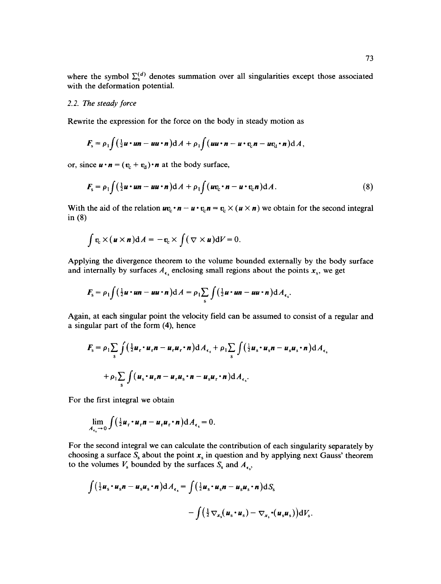where the symbol  $\Sigma_s^{(a)}$  denotes summation over all singularities except those associated with the deformation potential.

# *2.2. The steady force*

Rewrite the expression for the force on the body in steady motion as

$$
F_{s} = \rho_{1} \int \left( \frac{1}{2} u \cdot un - uu \cdot n \right) dA + \rho_{1} \int \left( uu \cdot n - u \cdot v_{c} n - uv_{d} \cdot n \right) dA,
$$

or, since  $\mathbf{u} \cdot \mathbf{n} = (\mathbf{v}_c + \mathbf{v}_d) \cdot \mathbf{n}$  at the body surface,

$$
F_{s} = \rho_{1} \int (\frac{1}{2}u \cdot un - uu \cdot n) dA + \rho_{1} \int (uv_{c} \cdot n - u \cdot v_{c} n) dA.
$$
 (8)

With the aid of the relation  $uv_c \cdot n - u \cdot v_c n = v_c \times (u \times n)$  we obtain for the second integral in **(8)** 

$$
\int v_c \times (u \times n) dA = -v_c \times \int (\nabla \times u) dV = 0.
$$

Applying the divergence theorem to the volume bounded externally by the body surface and internally by surfaces  $A_{\epsilon}$  enclosing small regions about the points  $x_s$ , we get

$$
F_{\rm s} = \rho_1 \int \left(\tfrac{1}{2} u \cdot u n - u u \cdot n\right) \mathrm{d}A = \rho_1 \sum_{\rm s} \int \left(\tfrac{1}{2} u \cdot u n - u u \cdot n\right) \mathrm{d}A_{\epsilon_{\rm s}}.
$$

Again, at each singular point the velocity field can be assumed to consist of a regular and a singular part of the form (4), hence

$$
F_s = \rho_1 \sum_{s} \int \left(\frac{1}{2} u_r \cdot u_r n - u_r u_r \cdot n\right) dA_{\epsilon_s} + \rho_1 \sum_{s} \int \left(\frac{1}{2} u_s \cdot u_s n - u_s u_s \cdot n\right) dA_{\epsilon_s}
$$

$$
+ \rho_1 \sum_{s} \int \left(u_s \cdot u_r n - u_r u_s \cdot n - u_s u_r \cdot n\right) dA_{\epsilon_s}.
$$

For the first integral we obtain

$$
\lim_{A_{\epsilon_{\mathfrak{s}}}\to 0}\int \Bigl(\tfrac{1}{2}\boldsymbol{u}_{\mathfrak{r}}\boldsymbol{\cdot}\boldsymbol{u}_{\mathfrak{r}}\boldsymbol{n}-\boldsymbol{u}_{\mathfrak{r}}\boldsymbol{u}_{\mathfrak{r}}\boldsymbol{\cdot}\boldsymbol{n}\Bigr)\mathrm{d} A_{\epsilon_{\mathfrak{s}}}=0.
$$

For the second integral we can calculate the contribution of each singularity separately by choosing a surface  $S_s$  about the point  $x_s$  in question and by applying next Gauss' theorem to the volumes  $V_s$  bounded by the surfaces  $S_s$  and  $A_{\epsilon,s}$ .

$$
\int (\frac{1}{2}u_s \cdot u_s n - u_s u_s \cdot n) dA_{\epsilon_s} = \int (\frac{1}{2}u_s \cdot u_s n - u_s u_s \cdot n) dS_s
$$

$$
- \int (\frac{1}{2} \nabla_{x_s}(u_s \cdot u_s) - \nabla_{x_s} \cdot (u_s u_s)) dV_s.
$$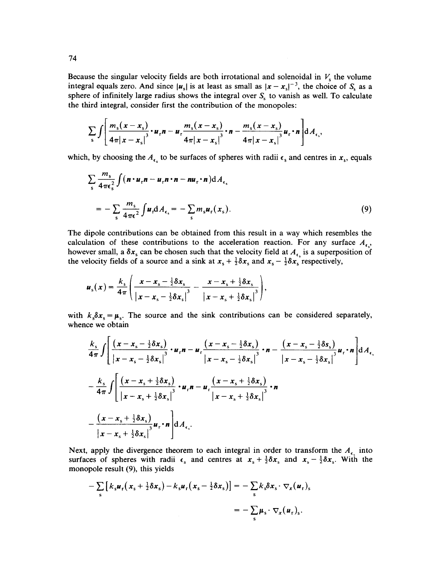Because the singular velocity fields are both irrotational and solenoidal in  $V_s$  the volume integral equals zero. And since  $|u_s|$  is at least as small as  $|x - x_s|^{-3}$ , the choice of S<sub>s</sub> as a sphere of infinitely large radius shows the integral over  $S<sub>s</sub>$  to vanish as well. To calculate the third integral, consider first the contribution of the monopoles:

$$
\sum_{s}\int\left[\frac{m_{s}(x-x_{s})}{4\pi|x-x_{s}|^{3}}\cdot u_{r}n-u_{r}\frac{m_{s}(x-x_{s})}{4\pi|x-x_{s}|^{3}}\cdot n-\frac{m_{s}(x-x_{s})}{4\pi|x-x_{s}|^{3}}u_{r}\cdot n\right]dA_{\epsilon_{s}},
$$

which, by choosing the  $A_{\epsilon_0}$  to be surfaces of spheres with radii  $\epsilon_s$  and centres in  $x_s$ , equals

$$
\sum_{s} \frac{m_s}{4\pi\epsilon_s^2} \int (\mathbf{n} \cdot \mathbf{u}_r \mathbf{n} - \mathbf{u}_r \mathbf{n} \cdot \mathbf{n} - \mathbf{n} \mathbf{u}_r \cdot \mathbf{n}) dA_{\epsilon_s}
$$
  
= 
$$
- \sum_{s} \frac{m_s}{4\pi\epsilon^2} \int \mathbf{u}_r dA_{\epsilon_s} = - \sum_{s} m_s \mathbf{u}_r(\mathbf{x}_s).
$$
 (9)

The dipole contributions can be obtained from this result in a way which resembles the calculation of these contributions to the acceleration reaction. For any surface  $A_{\epsilon}$ , however small, a  $\delta x_s$  can be chosen such that the velocity field at  $A_{\epsilon}$  is a superposition of the velocity fields of a source and a sink at  $x_s + \frac{1}{2}\delta x_s$  and  $x_s - \frac{1}{2}\delta x_s$  respectively,

$$
u_{s}(x) = \frac{k_{s}}{4\pi} \left( \frac{x - x_{s} - \frac{1}{2}\delta x_{s}}{\left|x - x_{s} - \frac{1}{2}\delta x_{s}\right|^{3}} - \frac{x - x_{s} + \frac{1}{2}\delta x_{s}}{\left|x - x_{s} + \frac{1}{2}\delta x_{s}\right|^{3}} \right),
$$

with  $k_s \delta x_s = \mu_s$ . The source and the sink contributions can be considered separately, whence we obtain

$$
\frac{k_s}{4\pi} \int \left[ \frac{\left(x - x_s - \frac{1}{2}\delta x_s\right)}{\left|x - x_s - \frac{1}{2}\delta x_s\right|^3} \cdot u_r n - u_r \frac{\left(x - x_s - \frac{1}{2}\delta x_s\right)}{\left|x - x_s - \frac{1}{2}\delta x_s\right|^3} \cdot n - \frac{\left(x - x_s - \frac{1}{2}\delta s_s\right)}{\left|x - x_s - \frac{1}{2}\delta x_s\right|^3} u_r \cdot n \right] dA_{\epsilon_s}
$$
\n
$$
-\frac{k_s}{4\pi} \int \left[ \frac{\left(x - x_s + \frac{1}{2}\delta x_s\right)}{\left|x - x_s + \frac{1}{2}\delta x_s\right|^3} \cdot u_r n - u_r \frac{\left(x - x_s + \frac{1}{2}\delta x_s\right)}{\left|x - x_s + \frac{1}{2}\delta x_s\right|^3} \cdot n - \frac{\left(x - x_s + \frac{1}{2}\delta x_s\right)}{\left|x - x_s + \frac{1}{2}\delta x_s\right|^3} u_r \cdot n \right] dA_{\epsilon_s}.
$$

Next, apply the divergence theorem to each integral in order to transform the  $A_{\epsilon}$  into surfaces of spheres with radii  $\epsilon_s$  and centres at  $x_s + \frac{1}{2}\delta x_s$  and  $x_s - \frac{1}{2}\delta x_s$ . With the monopole result (9), this yields

$$
-\sum_{s} \left[ k_s \boldsymbol{u}_r (x_s + \frac{1}{2} \delta x_s) - k_s \boldsymbol{u}_r (x_s - \frac{1}{2} \delta x_s) \right] = -\sum_{s} k_s \delta x_s \cdot \nabla_x (\boldsymbol{u}_r)_s
$$

$$
= -\sum_{s} \boldsymbol{\mu}_s \cdot \nabla_x (\boldsymbol{u}_r)_s.
$$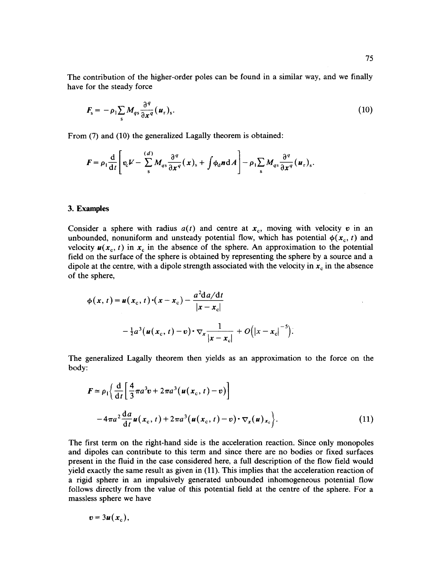The contribution of the higher-order poles can be found in a similar way, and we finally have for the steady force

$$
F_{s} = -\rho_{1} \sum_{s} M_{qs} \frac{\partial^{q}}{\partial x^{q}} (u_{r})_{s}.
$$
 (10)

From (7) and (10) the generalized Lagally theorem is obtained:

$$
F = \rho_1 \frac{\mathrm{d}}{\mathrm{d}t} \left[ \mathbf{v}_{\rm c} V - \sum_{\rm s}^{(d)} M_{q\rm s} \frac{\partial^q}{\partial x^q} (\mathbf{x})_{\rm s} + \int \phi_{\rm d} \mathbf{n} \mathrm{d}A \right] - \rho_1 \sum_{\rm s} M_{q\rm s} \frac{\partial^q}{\partial x^q} (\mathbf{u}_{\rm r})_{\rm s}.
$$

## **3. Examples**

Consider a sphere with radius  $a(t)$  and centre at  $x_c$ , moving with velocity v in an unbounded, nonuniform and unsteady potential flow, which has potential  $\phi(x_c, t)$  and velocity  $u(x_c, t)$  in  $x_c$  in the absence of the sphere. An approximation to the potential field on the surface of the sphere is obtained by representing the sphere by a source and a dipole at the centre, with a dipole strength associated with the velocity in  $x_c$  in the absence of the sphere,

$$
\phi(x, t) = u(x_c, t) \cdot (x - x_c) - \frac{a^2 \mathrm{d} a/\mathrm{d} t}{|x - x_c|}
$$

$$
- \frac{1}{2} a^3 (u(x_c, t) - v) \cdot \nabla_x \frac{1}{|x - x_c|} + O(|x - x_c|^{-5}).
$$

The generalized Lagally theorem then yields as an approximation to the force on the body:

$$
F \approx \rho_1 \bigg\{ \frac{d}{dt} \bigg[ \frac{4}{3} \pi a^3 v + 2 \pi a^3 (\boldsymbol{u}(\boldsymbol{x}_c, t) - v) \bigg]
$$
  
-4 \pi a^2 \frac{da}{dt} \boldsymbol{u}(\boldsymbol{x}\_c, t) + 2 \pi a^3 (\boldsymbol{u}(\boldsymbol{x}\_c, t) - v) \cdot \nabla\_{\boldsymbol{x}}(\boldsymbol{u}) \boldsymbol{x}\_c \bigg\}. (11)

The first term on the right-hand side is the acceleration reaction. Since only monopoles and dipoles can contribute to this term and since there are no bodies or fixed surfaces present in the fluid in the case considered here, a full description of the flow field would yield exactly the same result as given in (11). This implies that the acceleration reaction of a rigid sphere in an impulsively generated unbounded inhomogeneous potential flow follows directly from the value of this potential field at the centre of the sphere. For a massless sphere we have

$$
v=3u(x_{\rm c}),
$$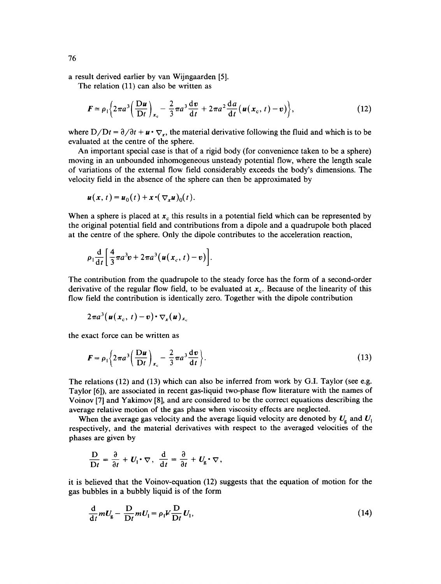a result derived earlier by van Wijngaarden [5].

The relation (11) can also be written as

$$
\boldsymbol{F} \approx \rho_1 \bigg\{ 2\pi a^3 \bigg( \frac{\mathrm{D}\boldsymbol{u}}{\mathrm{D}t} \bigg)_{\boldsymbol{x}_c} - \frac{2}{3}\pi a^3 \frac{\mathrm{d}\boldsymbol{v}}{\mathrm{d}t} + 2\pi a^2 \frac{\mathrm{d}\boldsymbol{a}}{\mathrm{d}t} \big( \boldsymbol{u}(\boldsymbol{x}_c, t) - \boldsymbol{v} \big) \bigg\},\tag{12}
$$

where  $D/Dt = \partial/\partial t + \mathbf{u} \cdot \nabla_{\mathbf{x}}$ , the material derivative following the fluid and which is to be evaluated at the centre of the sphere.

An important special case is that of a rigid body (for convenience taken to be a sphere) moving in an unbounded inhomogeneous unsteady potential flow, where the length scale of variations of the external flow field considerably exceeds the body's dimensions. The velocity field in the absence of the sphere can then be approximated by

$$
\boldsymbol{u}(\boldsymbol{x},\,t)=\boldsymbol{u}_0(t)+\boldsymbol{x}\boldsymbol{\cdot}(\nabla_{\boldsymbol{x}}\boldsymbol{u})_0(t).
$$

When a sphere is placed at  $x_c$  this results in a potential field which can be represented by the original potential field and contributions from a dipole and a quadrupole both placed at the centre of the sphere. Only the dipole contributes to the acceleration reaction,

$$
\rho_1 \frac{\mathrm{d}}{\mathrm{d}t} \left[ \frac{4}{3} \pi a^3 v + 2 \pi a^3 \big( u(x_c, t) - v \big) \right].
$$

The contribution from the quadrupole to the steady force has the form of a second-order derivative of the regular flow field, to be evaluated at  $x_c$ . Because of the linearity of this flow field the contribution is identically zero. Together with the dipole contribution

$$
2\pi a^3(\boldsymbol{u}(\boldsymbol{x}_c, t)-\boldsymbol{v})\boldsymbol{\cdot}\nabla_{\boldsymbol{x}}(\boldsymbol{u})_{\boldsymbol{x}_c}
$$

the exact force can be written as

$$
\boldsymbol{F} = \rho_1 \left\{ 2\pi a^3 \left( \frac{\mathbf{D} \boldsymbol{u}}{\mathbf{D} t} \right)_{x_c} - \frac{2}{3} \pi a^3 \frac{\mathrm{d} \boldsymbol{v}}{\mathrm{d} t} \right\}.
$$
 (13)

The relations (12) and (13) which can also be inferred from work by G.I. Taylor (see e.g. Taylor [6]), are associated in recent gas-liquid two-phase flow literature with the names of Voinov [7] and Yakimov [8], and are considered to be the correct equations describing the average relative motion of the gas phase when viscosity effects are neglected.

When the average gas velocity and the average liquid velocity are denoted by  $U_{\rm g}$  and  $U_{\rm l}$ respectively, and the material derivatives with respect to the averaged velocities of the phases are given by

$$
\frac{\mathbf{D}}{\mathbf{D}t} = \frac{\partial}{\partial t} + U_1 \cdot \nabla, \ \frac{\mathrm{d}}{\mathrm{d}t} = \frac{\partial}{\partial t} + U_{\mathrm{g}} \cdot \nabla,
$$

it is believed that the Voinov-equation (12) suggests that the equation of motion for the gas bubbles in a bubbly liquid is of the form

$$
\frac{\mathrm{d}}{\mathrm{d}t}mU_{\mathrm{g}} - \frac{\mathrm{D}}{\mathrm{D}t}mU_{\mathrm{l}} = \rho_{\mathrm{l}}V\frac{\mathrm{D}}{\mathrm{D}t}U_{\mathrm{l}},\tag{14}
$$

76